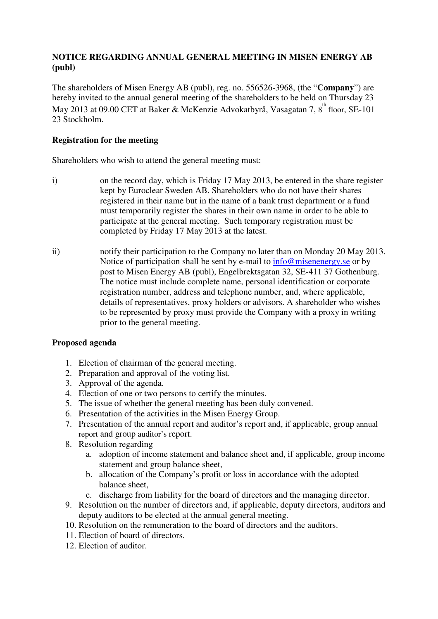# **NOTICE REGARDING ANNUAL GENERAL MEETING IN MISEN ENERGY AB (publ)**

The shareholders of Misen Energy AB (publ), reg. no. 556526-3968, (the "**Company**") are hereby invited to the annual general meeting of the shareholders to be held on Thursday 23 May 2013 at 09.00 CET at Baker & McKenzie Advokatbyrå, Vasagatan 7, 8<sup>th</sup> floor, SE-101 23 Stockholm.

### **Registration for the meeting**

Shareholders who wish to attend the general meeting must:

- i) on the record day, which is Friday 17 May 2013, be entered in the share register kept by Euroclear Sweden AB. Shareholders who do not have their shares registered in their name but in the name of a bank trust department or a fund must temporarily register the shares in their own name in order to be able to participate at the general meeting. Such temporary registration must be completed by Friday 17 May 2013 at the latest.
- ii) notify their participation to the Company no later than on Monday 20 May 2013. Notice of participation shall be sent by e-mail to info@misenenergy.se or by post to Misen Energy AB (publ), Engelbrektsgatan 32, SE-411 37 Gothenburg. The notice must include complete name, personal identification or corporate registration number, address and telephone number, and, where applicable, details of representatives, proxy holders or advisors. A shareholder who wishes to be represented by proxy must provide the Company with a proxy in writing prior to the general meeting.

## **Proposed agenda**

- 1. Election of chairman of the general meeting.
- 2. Preparation and approval of the voting list.
- 3. Approval of the agenda.
- 4. Election of one or two persons to certify the minutes.
- 5. The issue of whether the general meeting has been duly convened.
- 6. Presentation of the activities in the Misen Energy Group.
- 7. Presentation of the annual report and auditor's report and, if applicable, group annual report and group auditor's report.
- 8. Resolution regarding
	- a. adoption of income statement and balance sheet and, if applicable, group income statement and group balance sheet,
	- b. allocation of the Company's profit or loss in accordance with the adopted balance sheet,
	- c. discharge from liability for the board of directors and the managing director.
- 9. Resolution on the number of directors and, if applicable, deputy directors, auditors and deputy auditors to be elected at the annual general meeting.
- 10. Resolution on the remuneration to the board of directors and the auditors.
- 11. Election of board of directors.
- 12. Election of auditor.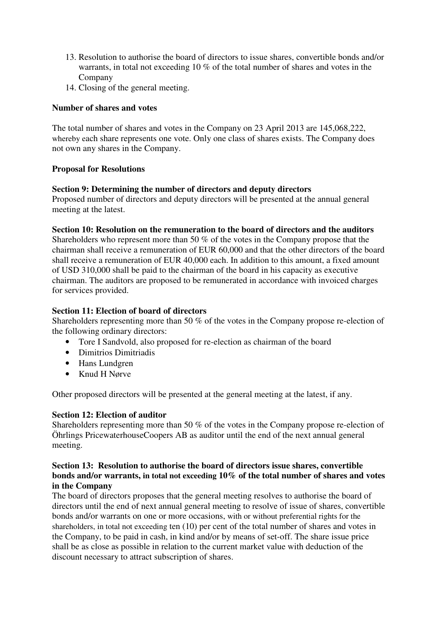- 13. Resolution to authorise the board of directors to issue shares, convertible bonds and/or warrants, in total not exceeding 10 % of the total number of shares and votes in the Company
- 14. Closing of the general meeting.

## **Number of shares and votes**

The total number of shares and votes in the Company on 23 April 2013 are 145,068,222, whereby each share represents one vote. Only one class of shares exists. The Company does not own any shares in the Company.

## **Proposal for Resolutions**

### **Section 9: Determining the number of directors and deputy directors**

Proposed number of directors and deputy directors will be presented at the annual general meeting at the latest.

### **Section 10: Resolution on the remuneration to the board of directors and the auditors**

Shareholders who represent more than 50 % of the votes in the Company propose that the chairman shall receive a remuneration of EUR 60,000 and that the other directors of the board shall receive a remuneration of EUR 40,000 each. In addition to this amount, a fixed amount of USD 310,000 shall be paid to the chairman of the board in his capacity as executive chairman. The auditors are proposed to be remunerated in accordance with invoiced charges for services provided.

#### **Section 11: Election of board of directors**

Shareholders representing more than 50 % of the votes in the Company propose re-election of the following ordinary directors:

- Tore I Sandvold, also proposed for re-election as chairman of the board
- Dimitrios Dimitriadis
- Hans Lundgren
- Knud H Nørve

Other proposed directors will be presented at the general meeting at the latest, if any.

#### **Section 12: Election of auditor**

Shareholders representing more than 50 % of the votes in the Company propose re-election of Öhrlings PricewaterhouseCoopers AB as auditor until the end of the next annual general meeting.

#### **Section 13: Resolution to authorise the board of directors issue shares, convertible bonds and/or warrants, in total not exceeding 10% of the total number of shares and votes in the Company**

The board of directors proposes that the general meeting resolves to authorise the board of directors until the end of next annual general meeting to resolve of issue of shares, convertible bonds and/or warrants on one or more occasions, with or without preferential rights for the shareholders, in total not exceeding ten (10) per cent of the total number of shares and votes in the Company, to be paid in cash, in kind and/or by means of set-off. The share issue price shall be as close as possible in relation to the current market value with deduction of the discount necessary to attract subscription of shares.